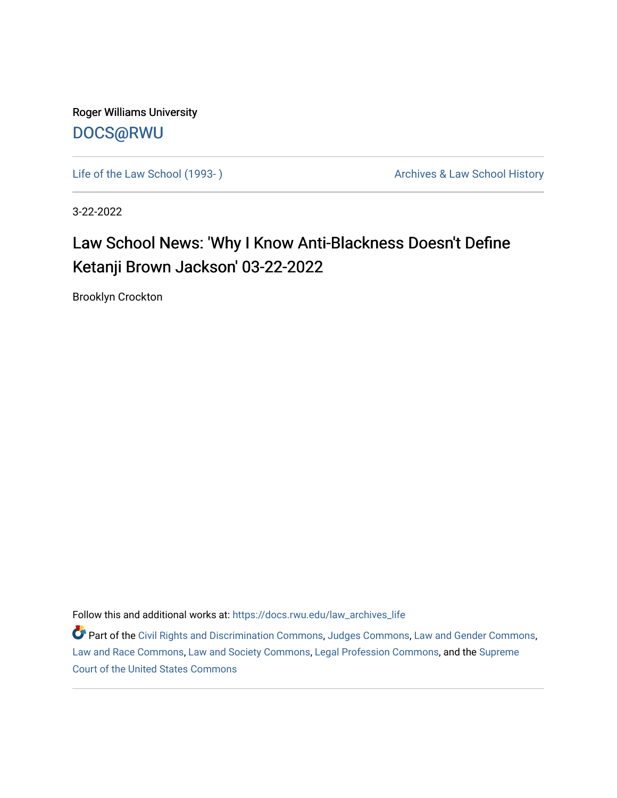Roger Williams University [DOCS@RWU](https://docs.rwu.edu/)

Life of the Law School (1993-) **Archives & Law School History** Archives & Law School History

3-22-2022

## Law School News: 'Why I Know Anti-Blackness Doesn't Define Ketanji Brown Jackson' 03-22-2022

Brooklyn Crockton

Follow this and additional works at: [https://docs.rwu.edu/law\\_archives\\_life](https://docs.rwu.edu/law_archives_life?utm_source=docs.rwu.edu%2Flaw_archives_life%2F776&utm_medium=PDF&utm_campaign=PDFCoverPages)

Part of the [Civil Rights and Discrimination Commons,](http://network.bepress.com/hgg/discipline/585?utm_source=docs.rwu.edu%2Flaw_archives_life%2F776&utm_medium=PDF&utm_campaign=PDFCoverPages) [Judges Commons,](http://network.bepress.com/hgg/discipline/849?utm_source=docs.rwu.edu%2Flaw_archives_life%2F776&utm_medium=PDF&utm_campaign=PDFCoverPages) [Law and Gender Commons](http://network.bepress.com/hgg/discipline/1298?utm_source=docs.rwu.edu%2Flaw_archives_life%2F776&utm_medium=PDF&utm_campaign=PDFCoverPages), [Law and Race Commons,](http://network.bepress.com/hgg/discipline/1300?utm_source=docs.rwu.edu%2Flaw_archives_life%2F776&utm_medium=PDF&utm_campaign=PDFCoverPages) [Law and Society Commons](http://network.bepress.com/hgg/discipline/853?utm_source=docs.rwu.edu%2Flaw_archives_life%2F776&utm_medium=PDF&utm_campaign=PDFCoverPages), [Legal Profession Commons,](http://network.bepress.com/hgg/discipline/1075?utm_source=docs.rwu.edu%2Flaw_archives_life%2F776&utm_medium=PDF&utm_campaign=PDFCoverPages) and the [Supreme](http://network.bepress.com/hgg/discipline/1350?utm_source=docs.rwu.edu%2Flaw_archives_life%2F776&utm_medium=PDF&utm_campaign=PDFCoverPages) [Court of the United States Commons](http://network.bepress.com/hgg/discipline/1350?utm_source=docs.rwu.edu%2Flaw_archives_life%2F776&utm_medium=PDF&utm_campaign=PDFCoverPages)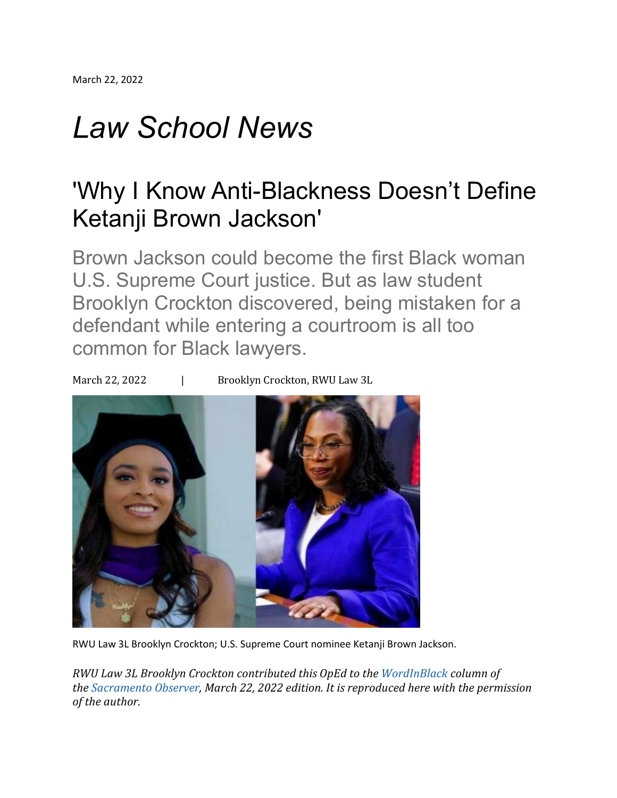## *Law School News*

## 'Why I Know Anti-Blackness Doesn't Define Ketanji Brown Jackson'

Brown Jackson could become the first Black woman U.S. Supreme Court justice. But as law student Brooklyn Crockton discovered, being mistaken for a defendant while entering a courtroom is all too common for Black lawyers.

March 22, 2022 | Brooklyn Crockton, RWU Law 3L



RWU Law 3L Brooklyn Crockton; U.S. Supreme Court nominee Ketanji Brown Jackson.

*RWU Law 3L Brooklyn Crockton contributed this OpEd to the [WordInBlack](https://sacobserver.com/author/wordinblack-com/) column of the [Sacramento](https://sacobserver.com/) Observer, March 22, 2022 edition. It is reproduced here with the permission of the author.*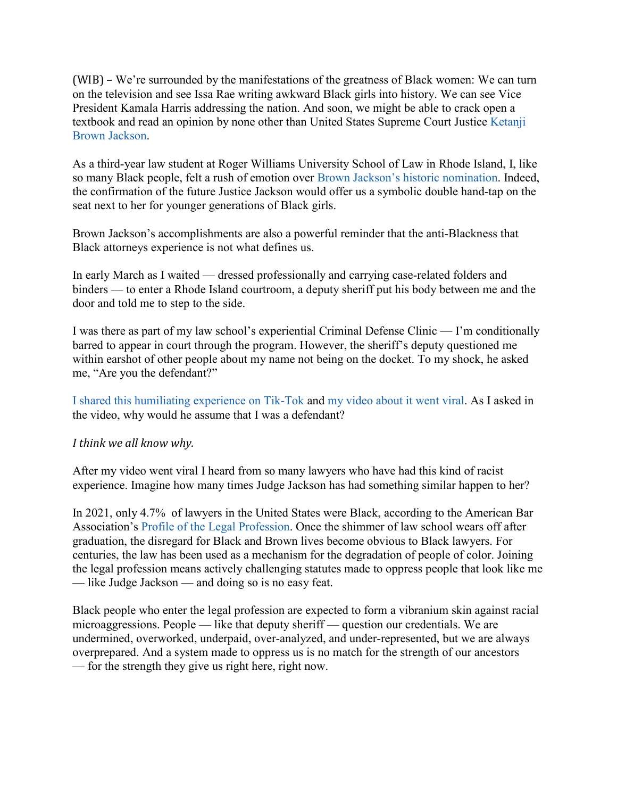(WIB) – We're surrounded by the manifestations of the greatness of Black women: We can turn on the television and see Issa Rae writing awkward Black girls into history. We can see Vice President Kamala Harris addressing the nation. And soon, we might be able to crack open a textbook and read an opinion by none other than United States Supreme Court Justice [Ketanji](https://wordinblack.com/2022/02/anita-hill-ketanji-brown-jacksons-nomination-to-the-supreme-court-signals-historic-change/) Brown [Jackson.](https://wordinblack.com/2022/02/anita-hill-ketanji-brown-jacksons-nomination-to-the-supreme-court-signals-historic-change/)

As a third-year law student at Roger Williams University School of Law in Rhode Island, I, like so many Black people, felt a rush of emotion over Brown Jackson's historic [nomination.](https://wordinblack.com/2022/02/want-to-save-democracy-ensure-that-a-black-woman-serves-on-the-supreme-court-%EF%BF%BC/) Indeed, the confirmation of the future Justice Jackson would offer us a symbolic double hand-tap on the seat next to her for younger generations of Black girls.

Brown Jackson's accomplishments are also a powerful reminder that the anti-Blackness that Black attorneys experience is not what defines us.

In early March as I waited — dressed professionally and carrying case-related folders and binders — to enter a Rhode Island courtroom, a deputy sheriff put his body between me and the door and told me to step to the side.

I was there as part of my law school's experiential Criminal Defense Clinic — I'm conditionally barred to appear in court through the program. However, the sheriff's deputy questioned me within earshot of other people about my name not being on the docket. To my shock, he asked me, "Are you the defendant?"

I shared this [humiliating](https://www.tiktok.com/@sobrooklyn_/video/7070909525452131626) experience on Tik-Tok and my [video](https://www.bostonglobe.com/2022/03/07/metro/black-law-student-says-deputy-mistook-her-defendant/) about it went viral. As I asked in the video, why would he assume that I was a defendant?

## *I think we all know why.*

After my video went viral I heard from so many lawyers who have had this kind of racist experience. Imagine how many times Judge Jackson has had something similar happen to her?

In 2021, only 4.7% of lawyers in the United States were Black, according to the American Bar Association's Profile of the Legal [Profession.](https://www.americanbar.org/news/reporter_resources/profile-of-profession/) Once the shimmer of law school wears off after graduation, the disregard for Black and Brown lives become obvious to Black lawyers. For centuries, the law has been used as a mechanism for the degradation of people of color. Joining the legal profession means actively challenging statutes made to oppress people that look like me — like Judge Jackson — and doing so is no easy feat.

Black people who enter the legal profession are expected to form a vibranium skin against racial microaggressions. People — like that deputy sheriff — question our credentials. We are undermined, overworked, underpaid, over-analyzed, and under-represented, but we are always overprepared. And a system made to oppress us is no match for the strength of our ancestors — for the strength they give us right here, right now.